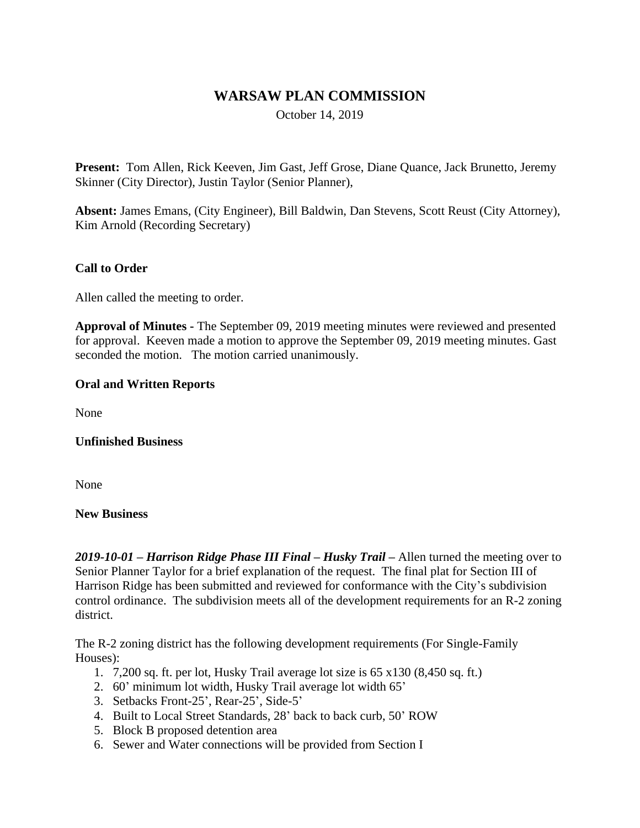# **WARSAW PLAN COMMISSION**

October 14, 2019

**Present:** Tom Allen, Rick Keeven, Jim Gast, Jeff Grose, Diane Quance, Jack Brunetto, Jeremy Skinner (City Director), Justin Taylor (Senior Planner),

**Absent:** James Emans, (City Engineer), Bill Baldwin, Dan Stevens, Scott Reust (City Attorney), Kim Arnold (Recording Secretary)

### **Call to Order**

Allen called the meeting to order.

**Approval of Minutes -** The September 09, 2019 meeting minutes were reviewed and presented for approval. Keeven made a motion to approve the September 09, 2019 meeting minutes. Gast seconded the motion. The motion carried unanimously.

#### **Oral and Written Reports**

None

#### **Unfinished Business**

None

#### **New Business**

*2019-10-01 – Harrison Ridge Phase III Final – Husky Trail –* Allen turned the meeting over to Senior Planner Taylor for a brief explanation of the request. The final plat for Section III of Harrison Ridge has been submitted and reviewed for conformance with the City's subdivision control ordinance. The subdivision meets all of the development requirements for an R-2 zoning district.

The R-2 zoning district has the following development requirements (For Single-Family Houses):

- 1. 7,200 sq. ft. per lot, Husky Trail average lot size is 65 x130 (8,450 sq. ft.)
- 2. 60' minimum lot width, Husky Trail average lot width 65'
- 3. Setbacks Front-25', Rear-25', Side-5'
- 4. Built to Local Street Standards, 28' back to back curb, 50' ROW
- 5. Block B proposed detention area
- 6. Sewer and Water connections will be provided from Section I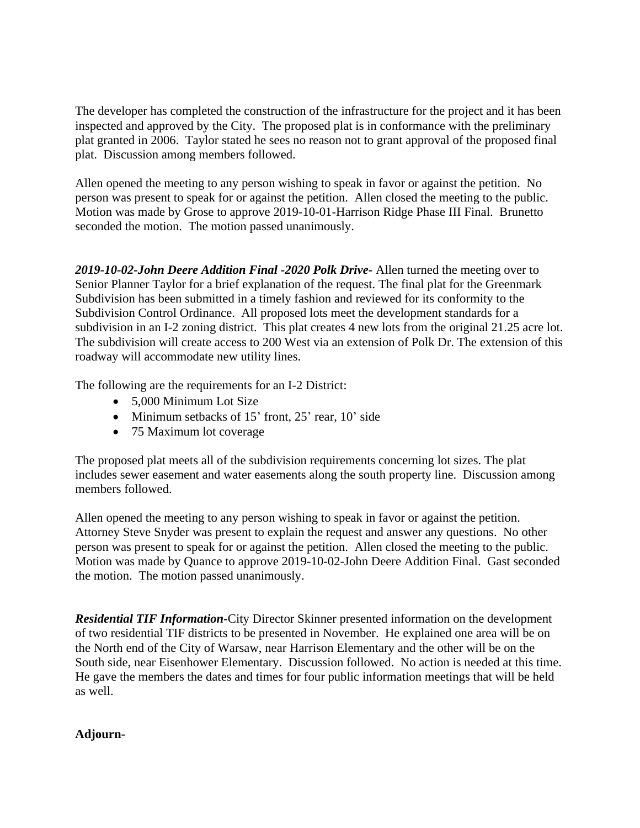The developer has completed the construction of the infrastructure for the project and it has been inspected and approved by the City. The proposed plat is in conformance with the preliminary plat granted in 2006. Taylor stated he sees no reason not to grant approval of the proposed final plat. Discussion among members followed.

Allen opened the meeting to any person wishing to speak in favor or against the petition. No person was present to speak for or against the petition. Allen closed the meeting to the public. Motion was made by Grose to approve 2019-10-01-Harrison Ridge Phase III Final. Brunetto seconded the motion. The motion passed unanimously.

*2019-10-02-John Deere Addition Final -2020 Polk Drive-* Allen turned the meeting over to Senior Planner Taylor for a brief explanation of the request. The final plat for the Greenmark Subdivision has been submitted in a timely fashion and reviewed for its conformity to the Subdivision Control Ordinance. All proposed lots meet the development standards for a subdivision in an I-2 zoning district. This plat creates 4 new lots from the original 21.25 acre lot. The subdivision will create access to 200 West via an extension of Polk Dr. The extension of this roadway will accommodate new utility lines.

The following are the requirements for an I-2 District:

- 5,000 Minimum Lot Size
- Minimum setbacks of 15' front, 25' rear, 10' side
- 75 Maximum lot coverage

The proposed plat meets all of the subdivision requirements concerning lot sizes. The plat includes sewer easement and water easements along the south property line. Discussion among members followed.

Allen opened the meeting to any person wishing to speak in favor or against the petition. Attorney Steve Snyder was present to explain the request and answer any questions. No other person was present to speak for or against the petition. Allen closed the meeting to the public. Motion was made by Quance to approve 2019-10-02-John Deere Addition Final. Gast seconded the motion. The motion passed unanimously.

*Residential TIF Information-*City Director Skinner presented information on the development of two residential TIF districts to be presented in November. He explained one area will be on the North end of the City of Warsaw, near Harrison Elementary and the other will be on the South side, near Eisenhower Elementary. Discussion followed. No action is needed at this time. He gave the members the dates and times for four public information meetings that will be held as well.

#### **Adjourn-**